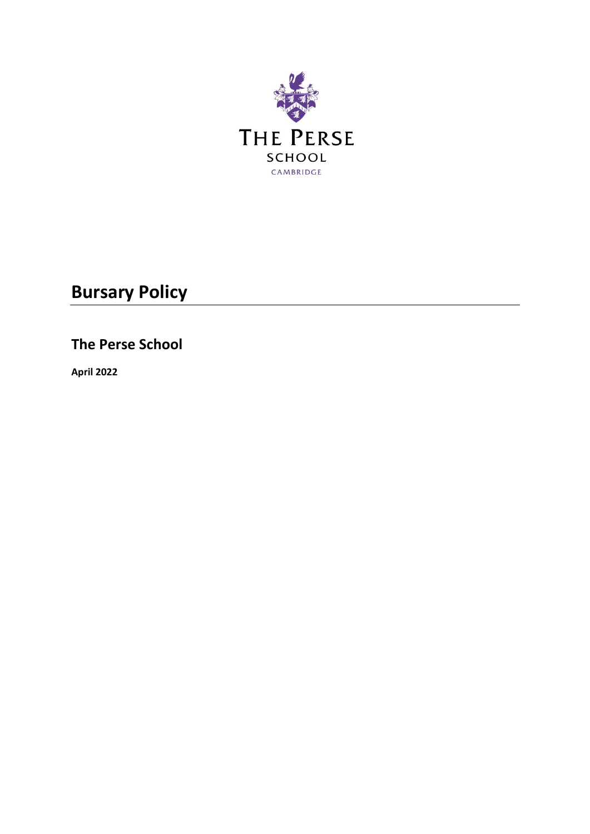

# **Bursary Policy**

**The Perse School** 

**April 2022**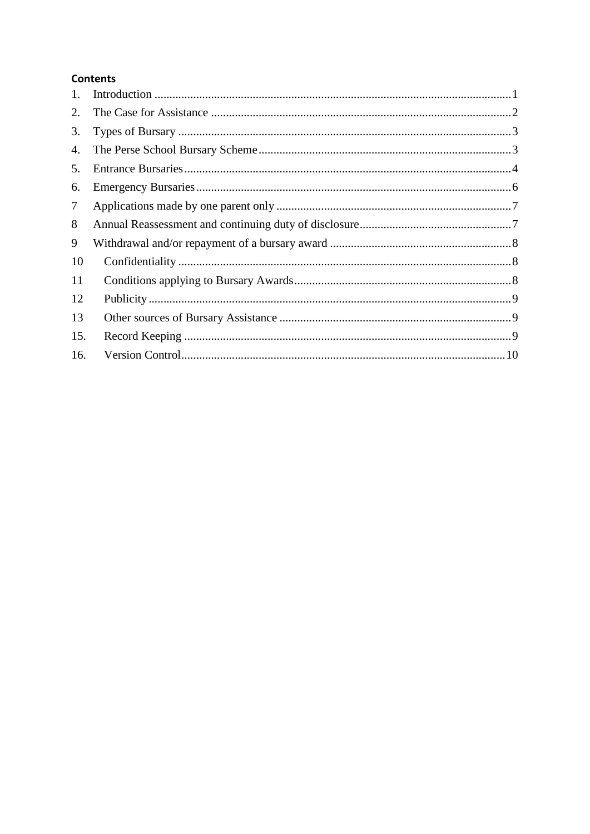## **Contents**

| 1.     |  |
|--------|--|
| 2.     |  |
| 3.     |  |
| 4.     |  |
| 5.     |  |
| 6.     |  |
| $\tau$ |  |
| 8      |  |
| 9      |  |
| 10     |  |
| 11     |  |
| 12     |  |
| 13     |  |
| 15.    |  |
| 16.    |  |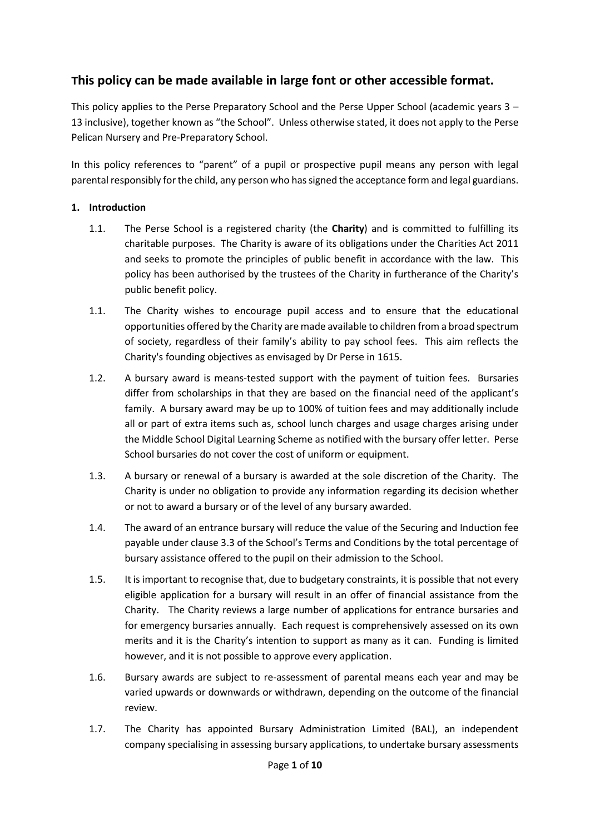## **This policy can be made available in large font or other accessible format.**

This policy applies to the Perse Preparatory School and the Perse Upper School (academic years 3 – 13 inclusive), together known as "the School". Unless otherwise stated, it does not apply to the Perse Pelican Nursery and Pre-Preparatory School.

In this policy references to "parent" of a pupil or prospective pupil means any person with legal parental responsibly for the child, any person who has signed the acceptance form and legal guardians.

## <span id="page-2-0"></span>**1. Introduction**

- 1.1. The Perse School is a registered charity (the **Charity**) and is committed to fulfilling its charitable purposes. The Charity is aware of its obligations under the Charities Act 2011 and seeks to promote the principles of public benefit in accordance with the law. This policy has been authorised by the trustees of the Charity in furtherance of the Charity's public benefit policy.
- 1.1. The Charity wishes to encourage pupil access and to ensure that the educational opportunities offered by the Charity are made available to children from a broad spectrum of society, regardless of their family's ability to pay school fees. This aim reflects the Charity's founding objectives as envisaged by Dr Perse in 1615.
- 1.2. A bursary award is means-tested support with the payment of tuition fees. Bursaries differ from scholarships in that they are based on the financial need of the applicant's family. A bursary award may be up to 100% of tuition fees and may additionally include all or part of extra items such as, school lunch charges and usage charges arising under the Middle School Digital Learning Scheme as notified with the bursary offer letter. Perse School bursaries do not cover the cost of uniform or equipment.
- 1.3. A bursary or renewal of a bursary is awarded at the sole discretion of the Charity. The Charity is under no obligation to provide any information regarding its decision whether or not to award a bursary or of the level of any bursary awarded.
- 1.4. The award of an entrance bursary will reduce the value of the Securing and Induction fee payable under clause 3.3 of the School's Terms and Conditions by the total percentage of bursary assistance offered to the pupil on their admission to the School.
- 1.5. It is important to recognise that, due to budgetary constraints, it is possible that not every eligible application for a bursary will result in an offer of financial assistance from the Charity. The Charity reviews a large number of applications for entrance bursaries and for emergency bursaries annually. Each request is comprehensively assessed on its own merits and it is the Charity's intention to support as many as it can. Funding is limited however, and it is not possible to approve every application.
- 1.6. Bursary awards are subject to re-assessment of parental means each year and may be varied upwards or downwards or withdrawn, depending on the outcome of the financial review.
- <span id="page-2-1"></span>1.7. The Charity has appointed Bursary Administration Limited (BAL), an independent company specialising in assessing bursary applications, to undertake bursary assessments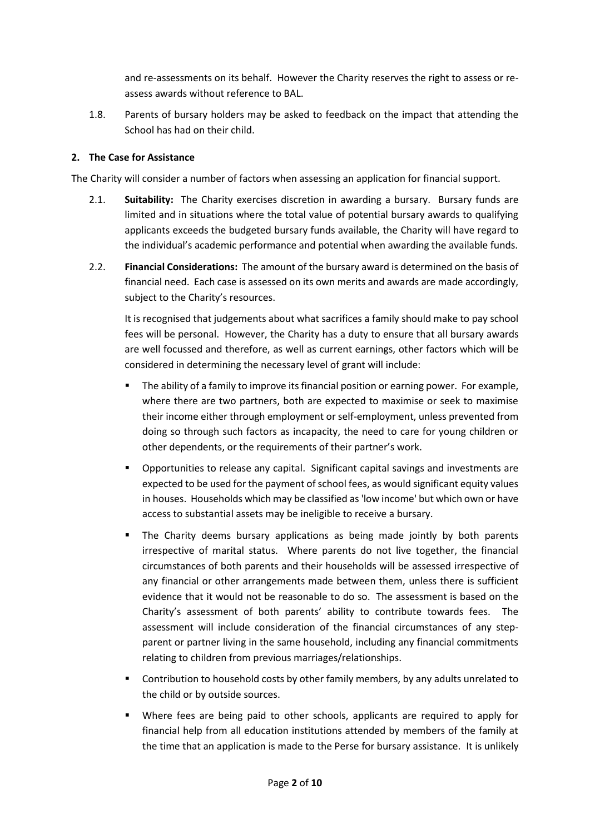and re-assessments on its behalf. However the Charity reserves the right to assess or reassess awards without reference to BAL.

1.8. Parents of bursary holders may be asked to feedback on the impact that attending the School has had on their child.

## <span id="page-3-0"></span>**2. The Case for Assistance**

The Charity will consider a number of factors when assessing an application for financial support.

- 2.1. **Suitability:** The Charity exercises discretion in awarding a bursary. Bursary funds are limited and in situations where the total value of potential bursary awards to qualifying applicants exceeds the budgeted bursary funds available, the Charity will have regard to the individual's academic performance and potential when awarding the available funds.
- 2.2. **Financial Considerations:** The amount of the bursary award is determined on the basis of financial need. Each case is assessed on its own merits and awards are made accordingly, subject to the Charity's resources.

It is recognised that judgements about what sacrifices a family should make to pay school fees will be personal. However, the Charity has a duty to ensure that all bursary awards are well focussed and therefore, as well as current earnings, other factors which will be considered in determining the necessary level of grant will include:

- The ability of a family to improve its financial position or earning power. For example, where there are two partners, both are expected to maximise or seek to maximise their income either through employment or self-employment, unless prevented from doing so through such factors as incapacity, the need to care for young children or other dependents, or the requirements of their partner's work.
- Opportunities to release any capital. Significant capital savings and investments are expected to be used for the payment of school fees, as would significant equity values in houses. Households which may be classified as 'low income' but which own or have access to substantial assets may be ineligible to receive a bursary.
- The Charity deems bursary applications as being made jointly by both parents irrespective of marital status. Where parents do not live together, the financial circumstances of both parents and their households will be assessed irrespective of any financial or other arrangements made between them, unless there is sufficient evidence that it would not be reasonable to do so. The assessment is based on the Charity's assessment of both parents' ability to contribute towards fees. The assessment will include consideration of the financial circumstances of any stepparent or partner living in the same household, including any financial commitments relating to children from previous marriages/relationships.
- Contribution to household costs by other family members, by any adults unrelated to the child or by outside sources.
- Where fees are being paid to other schools, applicants are required to apply for financial help from all education institutions attended by members of the family at the time that an application is made to the Perse for bursary assistance. It is unlikely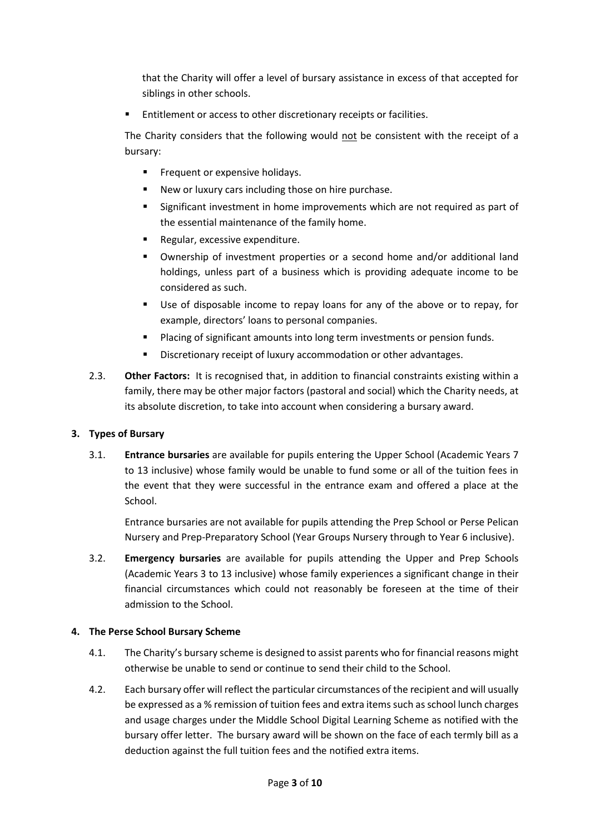that the Charity will offer a level of bursary assistance in excess of that accepted for siblings in other schools.

Entitlement or access to other discretionary receipts or facilities.

The Charity considers that the following would not be consistent with the receipt of a bursary:

- **EXECUTE:** Frequent or expensive holidays.
- New or luxury cars including those on hire purchase.
- Significant investment in home improvements which are not required as part of the essential maintenance of the family home.
- Regular, excessive expenditure.
- Ownership of investment properties or a second home and/or additional land holdings, unless part of a business which is providing adequate income to be considered as such.
- Use of disposable income to repay loans for any of the above or to repay, for example, directors' loans to personal companies.
- Placing of significant amounts into long term investments or pension funds.
- Discretionary receipt of luxury accommodation or other advantages.
- 2.3. **Other Factors:** It is recognised that, in addition to financial constraints existing within a family, there may be other major factors (pastoral and social) which the Charity needs, at its absolute discretion, to take into account when considering a bursary award.

## <span id="page-4-0"></span>**3. Types of Bursary**

3.1. **Entrance bursaries** are available for pupils entering the Upper School (Academic Years 7 to 13 inclusive) whose family would be unable to fund some or all of the tuition fees in the event that they were successful in the entrance exam and offered a place at the School.

Entrance bursaries are not available for pupils attending the Prep School or Perse Pelican Nursery and Prep-Preparatory School (Year Groups Nursery through to Year 6 inclusive).

3.2. **Emergency bursaries** are available for pupils attending the Upper and Prep Schools (Academic Years 3 to 13 inclusive) whose family experiences a significant change in their financial circumstances which could not reasonably be foreseen at the time of their admission to the School.

## <span id="page-4-1"></span>**4. The Perse School Bursary Scheme**

- 4.1. The Charity's bursary scheme is designed to assist parents who for financial reasons might otherwise be unable to send or continue to send their child to the School.
- 4.2. Each bursary offer will reflect the particular circumstances of the recipient and will usually be expressed as a % remission of tuition fees and extra items such as school lunch charges and usage charges under the Middle School Digital Learning Scheme as notified with the bursary offer letter. The bursary award will be shown on the face of each termly bill as a deduction against the full tuition fees and the notified extra items.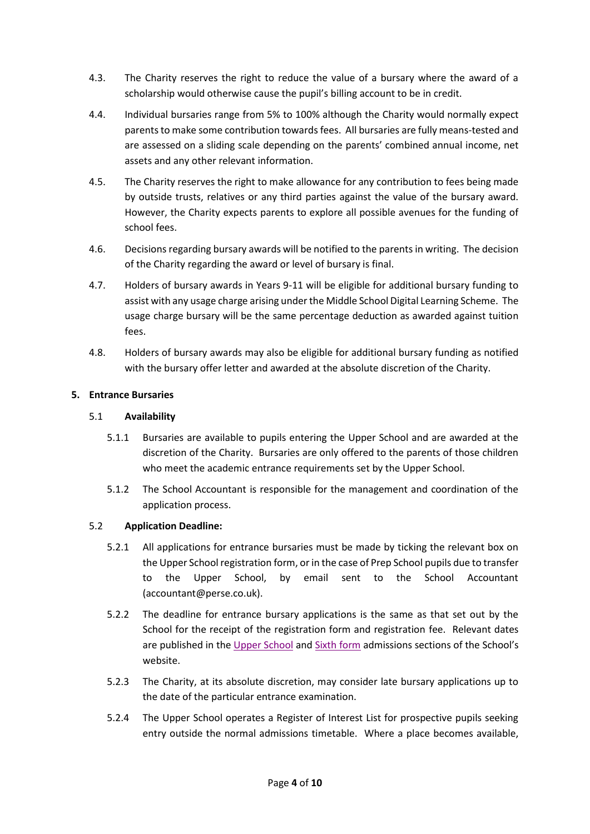- 4.3. The Charity reserves the right to reduce the value of a bursary where the award of a scholarship would otherwise cause the pupil's billing account to be in credit.
- 4.4. Individual bursaries range from 5% to 100% although the Charity would normally expect parents to make some contribution towards fees. All bursaries are fully means-tested and are assessed on a sliding scale depending on the parents' combined annual income, net assets and any other relevant information.
- 4.5. The Charity reserves the right to make allowance for any contribution to fees being made by outside trusts, relatives or any third parties against the value of the bursary award. However, the Charity expects parents to explore all possible avenues for the funding of school fees.
- 4.6. Decisions regarding bursary awards will be notified to the parents in writing. The decision of the Charity regarding the award or level of bursary is final.
- 4.7. Holders of bursary awards in Years 9-11 will be eligible for additional bursary funding to assist with any usage charge arising under the Middle School Digital Learning Scheme. The usage charge bursary will be the same percentage deduction as awarded against tuition fees.
- 4.8. Holders of bursary awards may also be eligible for additional bursary funding as notified with the bursary offer letter and awarded at the absolute discretion of the Charity.

## <span id="page-5-0"></span>**5. Entrance Bursaries**

#### 5.1 **Availability**

- 5.1.1 Bursaries are available to pupils entering the Upper School and are awarded at the discretion of the Charity. Bursaries are only offered to the parents of those children who meet the academic entrance requirements set by the Upper School.
- 5.1.2 The School Accountant is responsible for the management and coordination of the application process.

## 5.2 **Application Deadline:**

- 5.2.1 All applications for entrance bursaries must be made by ticking the relevant box on the Upper School registration form, or in the case of Prep School pupils due to transfer to the Upper School, by email sent to the School Accountant (accountant@perse.co.uk).
- 5.2.2 The deadline for entrance bursary applications is the same as that set out by the School for the receipt of the registration form and registration fee. Relevant dates are published in th[e Upper School](https://www.perse.co.uk/admissions/upper/register/) and [Sixth form](https://www.perse.co.uk/admissions/sixth/register/) admissions sections of the School's website.
- 5.2.3 The Charity, at its absolute discretion, may consider late bursary applications up to the date of the particular entrance examination.
- 5.2.4 The Upper School operates a Register of Interest List for prospective pupils seeking entry outside the normal admissions timetable. Where a place becomes available,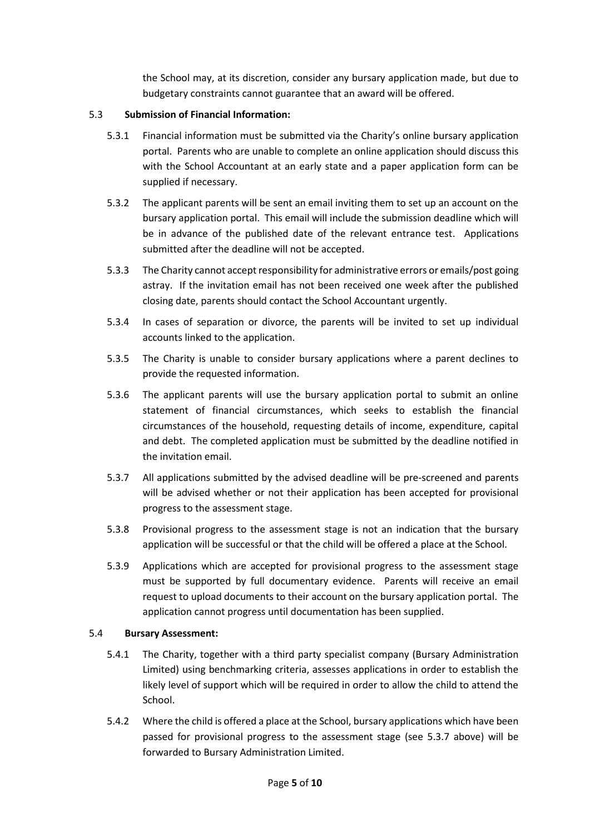the School may, at its discretion, consider any bursary application made, but due to budgetary constraints cannot guarantee that an award will be offered.

## <span id="page-6-1"></span>5.3 **Submission of Financial Information:**

- 5.3.1 Financial information must be submitted via the Charity's online bursary application portal. Parents who are unable to complete an online application should discuss this with the School Accountant at an early state and a paper application form can be supplied if necessary.
- 5.3.2 The applicant parents will be sent an email inviting them to set up an account on the bursary application portal. This email will include the submission deadline which will be in advance of the published date of the relevant entrance test. Applications submitted after the deadline will not be accepted.
- 5.3.3 The Charity cannot accept responsibility for administrative errors or emails/post going astray. If the invitation email has not been received one week after the published closing date, parents should contact the School Accountant urgently.
- 5.3.4 In cases of separation or divorce, the parents will be invited to set up individual accounts linked to the application.
- 5.3.5 The Charity is unable to consider bursary applications where a parent declines to provide the requested information.
- 5.3.6 The applicant parents will use the bursary application portal to submit an online statement of financial circumstances, which seeks to establish the financial circumstances of the household, requesting details of income, expenditure, capital and debt. The completed application must be submitted by the deadline notified in the invitation email.
- <span id="page-6-0"></span>5.3.7 All applications submitted by the advised deadline will be pre-screened and parents will be advised whether or not their application has been accepted for provisional progress to the assessment stage.
- 5.3.8 Provisional progress to the assessment stage is not an indication that the bursary application will be successful or that the child will be offered a place at the School.
- 5.3.9 Applications which are accepted for provisional progress to the assessment stage must be supported by full documentary evidence. Parents will receive an email request to upload documents to their account on the bursary application portal. The application cannot progress until documentation has been supplied.

## <span id="page-6-2"></span>5.4 **Bursary Assessment:**

- 5.4.1 The Charity, together with a third party specialist company (Bursary Administration Limited) using benchmarking criteria, assesses applications in order to establish the likely level of support which will be required in order to allow the child to attend the School.
- 5.4.2 Where the child is offered a place at the School, bursary applications which have been passed for provisional progress to the assessment stage (see [5.3.7](#page-6-0) above) will be forwarded to Bursary Administration Limited.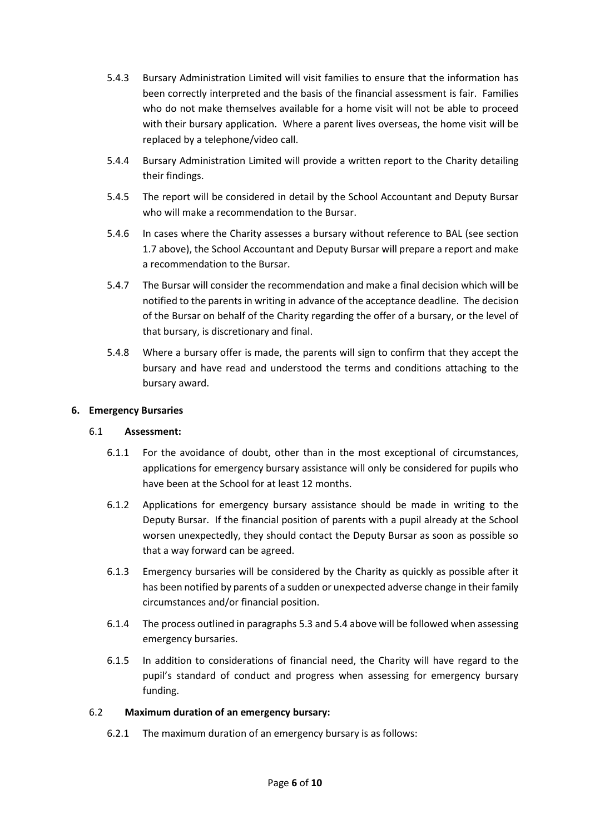- 5.4.3 Bursary Administration Limited will visit families to ensure that the information has been correctly interpreted and the basis of the financial assessment is fair. Families who do not make themselves available for a home visit will not be able to proceed with their bursary application. Where a parent lives overseas, the home visit will be replaced by a telephone/video call.
- 5.4.4 Bursary Administration Limited will provide a written report to the Charity detailing their findings.
- 5.4.5 The report will be considered in detail by the School Accountant and Deputy Bursar who will make a recommendation to the Bursar.
- 5.4.6 In cases where the Charity assesses a bursary without reference to BAL (see section [1.7](#page-2-1) above), the School Accountant and Deputy Bursar will prepare a report and make a recommendation to the Bursar.
- 5.4.7 The Bursar will consider the recommendation and make a final decision which will be notified to the parents in writing in advance of the acceptance deadline. The decision of the Bursar on behalf of the Charity regarding the offer of a bursary, or the level of that bursary, is discretionary and final.
- 5.4.8 Where a bursary offer is made, the parents will sign to confirm that they accept the bursary and have read and understood the terms and conditions attaching to the bursary award.

## <span id="page-7-0"></span>**6. Emergency Bursaries**

#### 6.1 **Assessment:**

- 6.1.1 For the avoidance of doubt, other than in the most exceptional of circumstances, applications for emergency bursary assistance will only be considered for pupils who have been at the School for at least 12 months.
- 6.1.2 Applications for emergency bursary assistance should be made in writing to the Deputy Bursar. If the financial position of parents with a pupil already at the School worsen unexpectedly, they should contact the Deputy Bursar as soon as possible so that a way forward can be agreed.
- 6.1.3 Emergency bursaries will be considered by the Charity as quickly as possible after it has been notified by parents of a sudden or unexpected adverse change in their family circumstances and/or financial position.
- 6.1.4 The process outlined in paragraph[s 5.3](#page-6-1) and [5.4](#page-6-2) above will be followed when assessing emergency bursaries.
- 6.1.5 In addition to considerations of financial need, the Charity will have regard to the pupil's standard of conduct and progress when assessing for emergency bursary funding.

## 6.2 **Maximum duration of an emergency bursary:**

6.2.1 The maximum duration of an emergency bursary is as follows: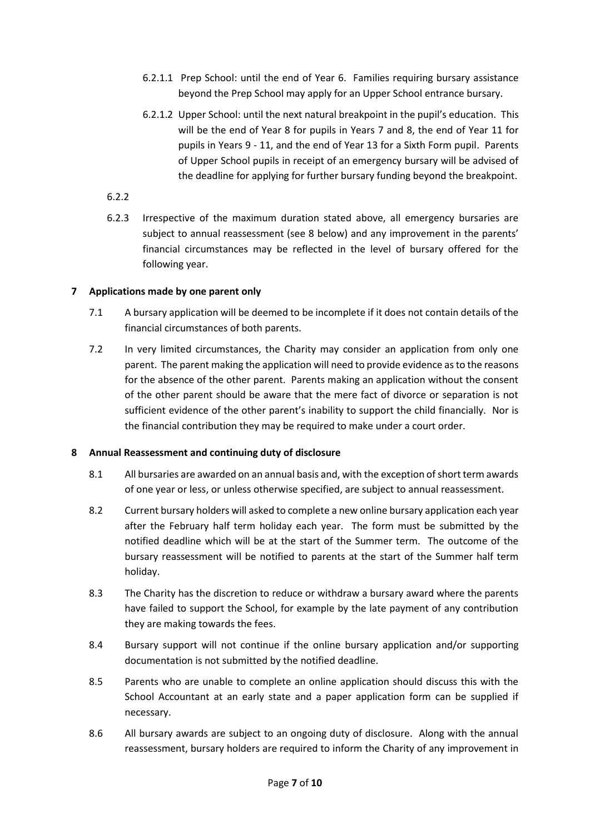- 6.2.1.1 Prep School: until the end of Year 6. Families requiring bursary assistance beyond the Prep School may apply for an Upper School entrance bursary.
- 6.2.1.2 Upper School: until the next natural breakpoint in the pupil's education. This will be the end of Year 8 for pupils in Years 7 and 8, the end of Year 11 for pupils in Years 9 - 11, and the end of Year 13 for a Sixth Form pupil. Parents of Upper School pupils in receipt of an emergency bursary will be advised of the deadline for applying for further bursary funding beyond the breakpoint.
- 6.2.2
- 6.2.3 Irrespective of the maximum duration stated above, all emergency bursaries are subject to annual reassessment (see [8](#page-8-1) below) and any improvement in the parents' financial circumstances may be reflected in the level of bursary offered for the following year.

## <span id="page-8-0"></span>**7 Applications made by one parent only**

- 7.1 A bursary application will be deemed to be incomplete if it does not contain details of the financial circumstances of both parents.
- 7.2 In very limited circumstances, the Charity may consider an application from only one parent. The parent making the application will need to provide evidence as to the reasons for the absence of the other parent. Parents making an application without the consent of the other parent should be aware that the mere fact of divorce or separation is not sufficient evidence of the other parent's inability to support the child financially. Nor is the financial contribution they may be required to make under a court order.

## <span id="page-8-1"></span>**8 Annual Reassessment and continuing duty of disclosure**

- 8.1 All bursaries are awarded on an annual basis and, with the exception of short term awards of one year or less, or unless otherwise specified, are subject to annual reassessment.
- 8.2 Current bursary holders will asked to complete a new online bursary application each year after the February half term holiday each year. The form must be submitted by the notified deadline which will be at the start of the Summer term. The outcome of the bursary reassessment will be notified to parents at the start of the Summer half term holiday.
- 8.3 The Charity has the discretion to reduce or withdraw a bursary award where the parents have failed to support the School, for example by the late payment of any contribution they are making towards the fees.
- 8.4 Bursary support will not continue if the online bursary application and/or supporting documentation is not submitted by the notified deadline.
- 8.5 Parents who are unable to complete an online application should discuss this with the School Accountant at an early state and a paper application form can be supplied if necessary.
- 8.6 All bursary awards are subject to an ongoing duty of disclosure. Along with the annual reassessment, bursary holders are required to inform the Charity of any improvement in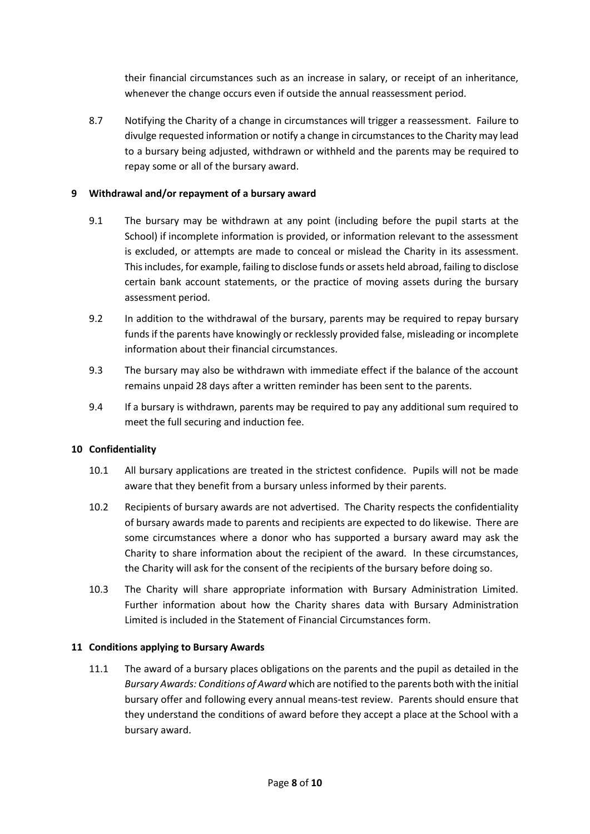their financial circumstances such as an increase in salary, or receipt of an inheritance, whenever the change occurs even if outside the annual reassessment period.

8.7 Notifying the Charity of a change in circumstances will trigger a reassessment. Failure to divulge requested information or notify a change in circumstances to the Charity may lead to a bursary being adjusted, withdrawn or withheld and the parents may be required to repay some or all of the bursary award.

## <span id="page-9-0"></span>**9 Withdrawal and/or repayment of a bursary award**

- 9.1 The bursary may be withdrawn at any point (including before the pupil starts at the School) if incomplete information is provided, or information relevant to the assessment is excluded, or attempts are made to conceal or mislead the Charity in its assessment. This includes, for example, failing to disclose funds or assets held abroad, failing to disclose certain bank account statements, or the practice of moving assets during the bursary assessment period.
- 9.2 In addition to the withdrawal of the bursary, parents may be required to repay bursary funds if the parents have knowingly or recklessly provided false, misleading or incomplete information about their financial circumstances.
- 9.3 The bursary may also be withdrawn with immediate effect if the balance of the account remains unpaid 28 days after a written reminder has been sent to the parents.
- 9.4 If a bursary is withdrawn, parents may be required to pay any additional sum required to meet the full securing and induction fee.

## <span id="page-9-1"></span>**10 Confidentiality**

- 10.1 All bursary applications are treated in the strictest confidence. Pupils will not be made aware that they benefit from a bursary unless informed by their parents.
- 10.2 Recipients of bursary awards are not advertised. The Charity respects the confidentiality of bursary awards made to parents and recipients are expected to do likewise. There are some circumstances where a donor who has supported a bursary award may ask the Charity to share information about the recipient of the award. In these circumstances, the Charity will ask for the consent of the recipients of the bursary before doing so.
- 10.3 The Charity will share appropriate information with Bursary Administration Limited. Further information about how the Charity shares data with Bursary Administration Limited is included in the Statement of Financial Circumstances form.

## <span id="page-9-2"></span>**11 Conditions applying to Bursary Awards**

11.1 The award of a bursary places obligations on the parents and the pupil as detailed in the *Bursary Awards: Conditions of Award* which are notified to the parents both with the initial bursary offer and following every annual means-test review. Parents should ensure that they understand the conditions of award before they accept a place at the School with a bursary award.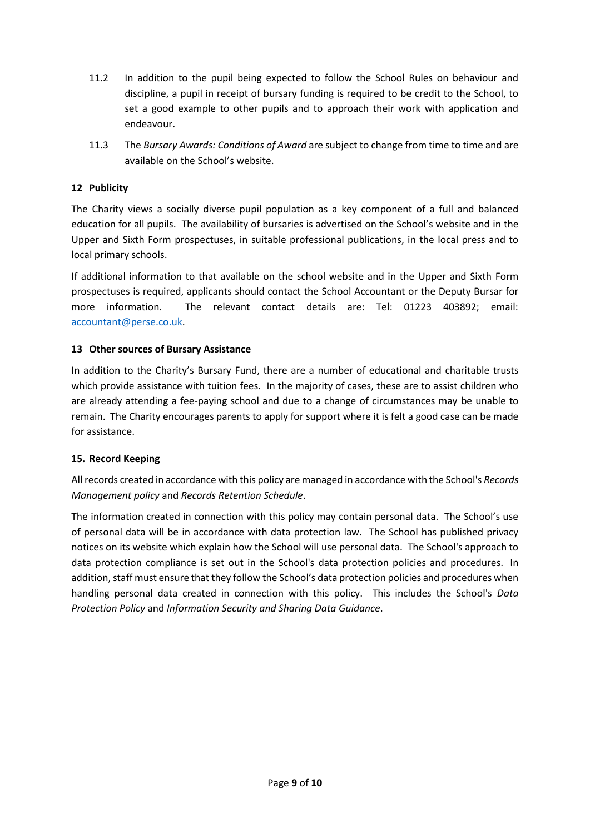- 11.2 In addition to the pupil being expected to follow the School Rules on behaviour and discipline, a pupil in receipt of bursary funding is required to be credit to the School, to set a good example to other pupils and to approach their work with application and endeavour.
- 11.3 The *Bursary Awards: Conditions of Award* are subject to change from time to time and are available on the School's website.

## <span id="page-10-0"></span>**12 Publicity**

The Charity views a socially diverse pupil population as a key component of a full and balanced education for all pupils. The availability of bursaries is advertised on the School's website and in the Upper and Sixth Form prospectuses, in suitable professional publications, in the local press and to local primary schools.

If additional information to that available on the school website and in the Upper and Sixth Form prospectuses is required, applicants should contact the School Accountant or the Deputy Bursar for more information. The relevant contact details are: Tel: 01223 403892; email: [accountant@perse.co.uk.](mailto:accountant@perse.co.uk)

## <span id="page-10-1"></span>**13 Other sources of Bursary Assistance**

In addition to the Charity's Bursary Fund, there are a number of educational and charitable trusts which provide assistance with tuition fees. In the majority of cases, these are to assist children who are already attending a fee-paying school and due to a change of circumstances may be unable to remain. The Charity encourages parents to apply for support where it is felt a good case can be made for assistance.

## <span id="page-10-2"></span>**15. Record Keeping**

All records created in accordance with this policy are managed in accordance with the School's *Records Management policy* and *Records Retention Schedule*.

The information created in connection with this policy may contain personal data. The School's use of personal data will be in accordance with data protection law. The School has published privacy notices on its website which explain how the School will use personal data. The School's approach to data protection compliance is set out in the School's data protection policies and procedures. In addition, staff must ensure that they follow the School's data protection policies and procedures when handling personal data created in connection with this policy. This includes the School's *Data Protection Policy* and *Information Security and Sharing Data Guidance*.